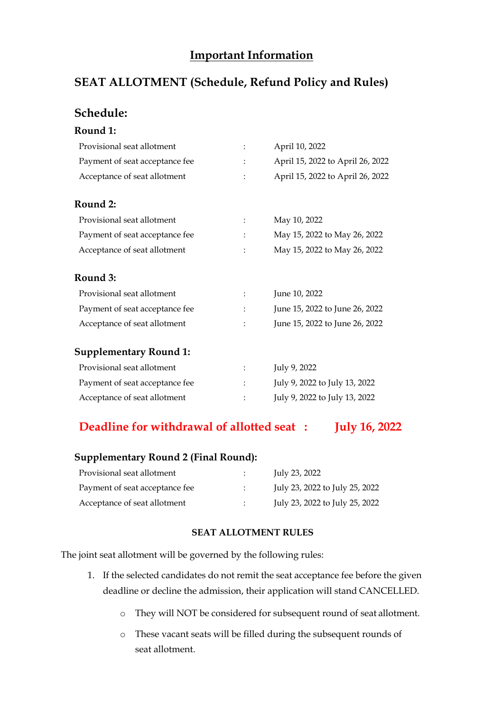# **Important Information**

# **SEAT ALLOTMENT (Schedule, Refund Policy and Rules)**

## **Schedule:**

| Round 1:                       |                      |                                  |
|--------------------------------|----------------------|----------------------------------|
| Provisional seat allotment     | $\ddot{\cdot}$       | April 10, 2022                   |
| Payment of seat acceptance fee | $\ddot{\cdot}$       | April 15, 2022 to April 26, 2022 |
| Acceptance of seat allotment   | $\ddot{\phantom{a}}$ | April 15, 2022 to April 26, 2022 |
| Round 2:                       |                      |                                  |
| Provisional seat allotment     |                      | May 10, 2022                     |
| Payment of seat acceptance fee |                      | May 15, 2022 to May 26, 2022     |
| Acceptance of seat allotment   |                      | May 15, 2022 to May 26, 2022     |
| Round 3:                       |                      |                                  |
| Provisional seat allotment     | $\ddot{\cdot}$       | June 10, 2022                    |
| Payment of seat acceptance fee |                      | June 15, 2022 to June 26, 2022   |
| Acceptance of seat allotment   | ÷                    | June 15, 2022 to June 26, 2022   |
| <b>Supplementary Round 1:</b>  |                      |                                  |
| Provisional seat allotment     | $\ddot{\cdot}$       | July 9, 2022                     |
| Payment of seat acceptance fee |                      | July 9, 2022 to July 13, 2022    |
| Acceptance of seat allotment   |                      | July 9, 2022 to July 13, 2022    |

## **Deadline for withdrawal of allotted seat : July 16, 2022**

### **Supplementary Round 2 (Final Round):**

| Provisional seat allotment     |                            | July 23, 2022                  |
|--------------------------------|----------------------------|--------------------------------|
| Payment of seat acceptance fee |                            | July 23, 2022 to July 25, 2022 |
| Acceptance of seat allotment   | $\mathcal{L}^{\text{max}}$ | July 23, 2022 to July 25, 2022 |

#### **SEAT ALLOTMENT RULES**

The joint seat allotment will be governed by the following rules:

- 1. If the selected candidates do not remit the seat acceptance fee before the given deadline or decline the admission, their application will stand CANCELLED.
	- o They will NOT be considered for subsequent round of seat allotment.
	- o These vacant seats will be filled during the subsequent rounds of seat allotment.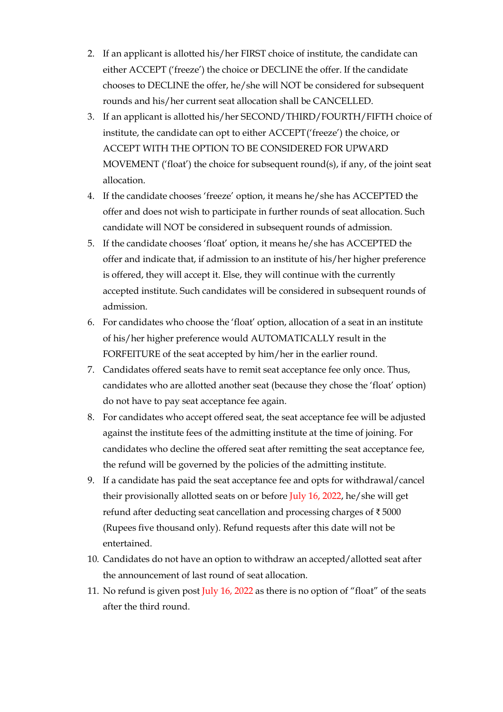- 2. If an applicant is allotted his/her FIRST choice of institute, the candidate can either ACCEPT ('freeze') the choice or DECLINE the offer. If the candidate chooses to DECLINE the offer, he/she will NOT be considered for subsequent rounds and his/her current seat allocation shall be CANCELLED.
- 3. If an applicant is allotted his/her SECOND/THIRD/FOURTH/FIFTH choice of institute, the candidate can opt to either ACCEPT('freeze') the choice, or ACCEPT WITH THE OPTION TO BE CONSIDERED FOR UPWARD MOVEMENT ('float') the choice for subsequent round(s), if any, of the joint seat allocation.
- 4. If the candidate chooses 'freeze' option, it means he/she has ACCEPTED the offer and does not wish to participate in further rounds of seat allocation. Such candidate will NOT be considered in subsequent rounds of admission.
- 5. If the candidate chooses 'float' option, it means he/she has ACCEPTED the offer and indicate that, if admission to an institute of his/her higher preference is offered, they will accept it. Else, they will continue with the currently accepted institute. Such candidates will be considered in subsequent rounds of admission.
- 6. For candidates who choose the 'float' option, allocation of a seat in an institute of his/her higher preference would AUTOMATICALLY result in the FORFEITURE of the seat accepted by him/her in the earlier round.
- 7. Candidates offered seats have to remit seat acceptance fee only once. Thus, candidates who are allotted another seat (because they chose the 'float' option) do not have to pay seat acceptance fee again.
- 8. For candidates who accept offered seat, the seat acceptance fee will be adjusted against the institute fees of the admitting institute at the time of joining. For candidates who decline the offered seat after remitting the seat acceptance fee, the refund will be governed by the policies of the admitting institute.
- 9. If a candidate has paid the seat acceptance fee and opts for withdrawal/cancel their provisionally allotted seats on or before July 16, 2022, he/she will get refund after deducting seat cancellation and processing charges of ₹ 5000 (Rupees five thousand only). Refund requests after this date will not be entertained.
- 10. Candidates do not have an option to withdraw an accepted/allotted seat after the announcement of last round of seat allocation.
- 11. No refund is given post July 16, 2022 as there is no option of "float" of the seats after the third round.